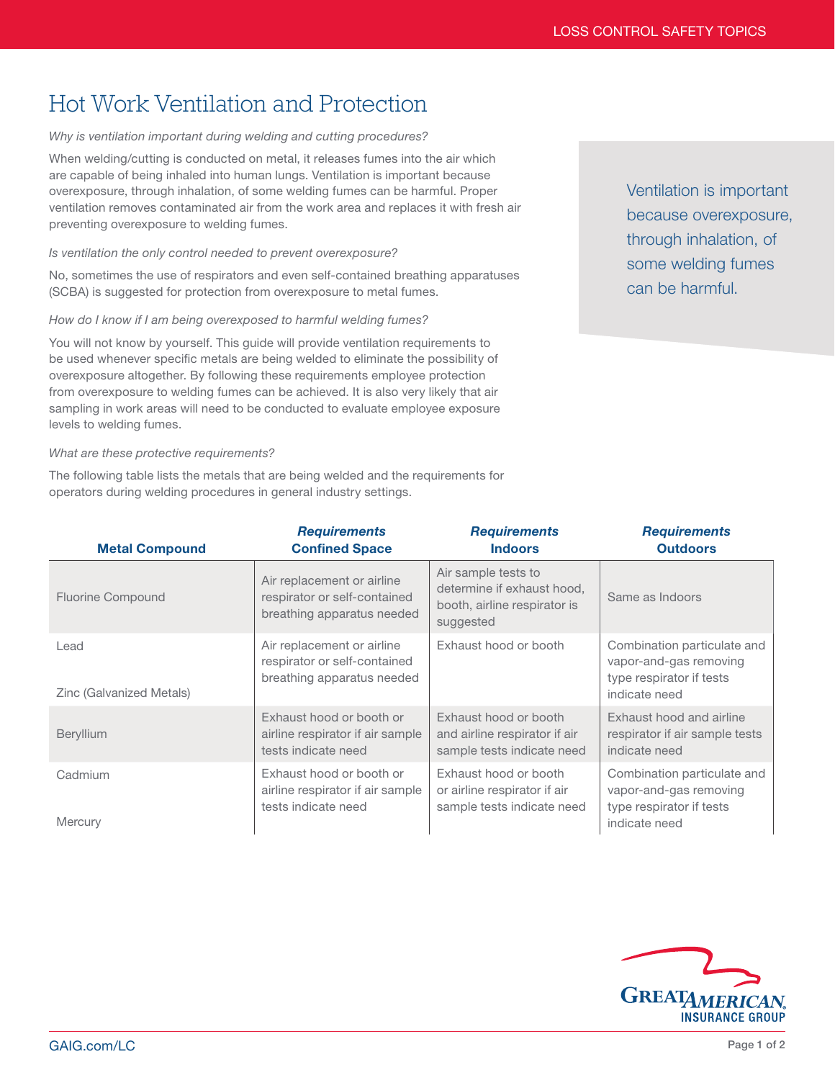# Hot Work Ventilation and Protection

# *Why is ventilation important during welding and cutting procedures?*

When welding/cutting is conducted on metal, it releases fumes into the air which are capable of being inhaled into human lungs. Ventilation is important because overexposure, through inhalation, of some welding fumes can be harmful. Proper ventilation removes contaminated air from the work area and replaces it with fresh air preventing overexposure to welding fumes.

## *Is ventilation the only control needed to prevent overexposure?*

No, sometimes the use of respirators and even self-contained breathing apparatuses (SCBA) is suggested for protection from overexposure to metal fumes.

# *How do I know if I am being overexposed to harmful welding fumes?*

You will not know by yourself. This guide will provide ventilation requirements to be used whenever specific metals are being welded to eliminate the possibility of overexposure altogether. By following these requirements employee protection from overexposure to welding fumes can be achieved. It is also very likely that air sampling in work areas will need to be conducted to evaluate employee exposure levels to welding fumes.

# *What are these protective requirements?*

The following table lists the metals that are being welded and the requirements for operators during welding procedures in general industry settings.

Ventilation is important because overexposure, through inhalation, of some welding fumes can be harmful.

| <b>Metal Compound</b>            | <b>Requirements</b><br><b>Confined Space</b>                                             | <b>Requirements</b><br><b>Indoors</b>                                                          | <b>Requirements</b><br><b>Outdoors</b>                                                             |
|----------------------------------|------------------------------------------------------------------------------------------|------------------------------------------------------------------------------------------------|----------------------------------------------------------------------------------------------------|
| <b>Fluorine Compound</b>         | Air replacement or airline<br>respirator or self-contained<br>breathing apparatus needed | Air sample tests to<br>determine if exhaust hood,<br>booth, airline respirator is<br>suggested | Same as Indoors                                                                                    |
| Lead<br>Zinc (Galvanized Metals) | Air replacement or airline<br>respirator or self-contained<br>breathing apparatus needed | Exhaust hood or booth                                                                          | Combination particulate and<br>vapor-and-gas removing<br>type respirator if tests<br>indicate need |
| <b>Beryllium</b>                 | Exhaust hood or booth or<br>airline respirator if air sample<br>tests indicate need      | Exhaust hood or booth<br>and airline respirator if air<br>sample tests indicate need           | Exhaust hood and airline<br>respirator if air sample tests<br>indicate need                        |
| Cadmium<br>Mercury               | Exhaust hood or booth or<br>airline respirator if air sample<br>tests indicate need      | Exhaust hood or booth<br>or airline respirator if air<br>sample tests indicate need            | Combination particulate and<br>vapor-and-gas removing<br>type respirator if tests<br>indicate need |